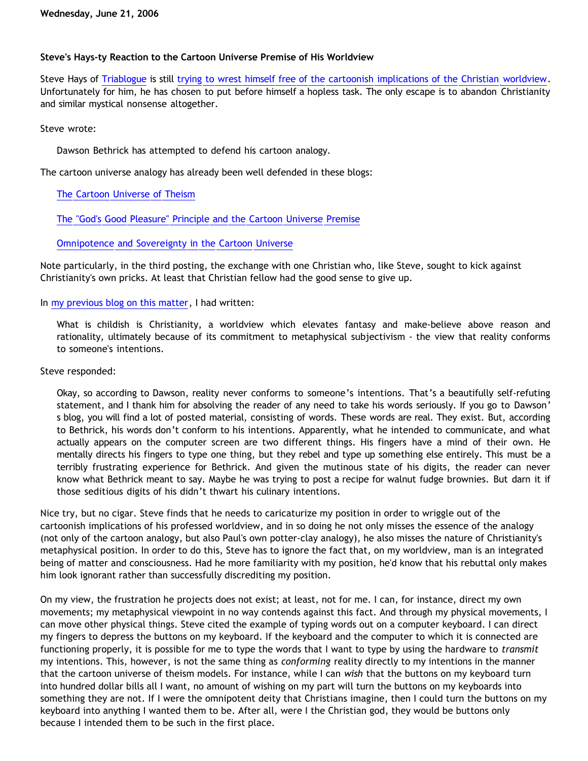# **Steve's Hays-ty Reaction to the Cartoon Universe Premise of His Worldview**

Steve Hays of [Triablogue](http://triablogue.blogspot.com/) is still [trying to wrest himself free of the cartoonish implications of the Christian worldview](http://triablogue.blogspot.com/2006/06/dawsons-mickey-mouse-philosophy.html). Unfortunately for him, he has chosen to put before himself a hopless task. The only escape is to abandon Christianity and similar mystical nonsense altogether.

Steve wrote:

Dawson Bethrick has attempted to defend his cartoon analogy.

The cartoon universe analogy has already been well defended in these blogs:

[The Cartoon Universe of Theism](http://bahnsenburner.blogspot.com/2005/03/cartoon-universe-of-theism.html)

[The "God's Good Pleasure" Principle and the Cartoon Universe Premise](http://bahnsenburner.blogspot.com/2005/04/gods-good-pleasure-principle-and.html)

[Omnipotence and Sovereignty in the Cartoon Universe](http://bahnsenburner.blogspot.com/2005/04/omnipotence-and-sovereignty-in-cartoon.html)

Note particularly, in the third posting, the exchange with one Christian who, like Steve, sought to kick against Christianity's own pricks. At least that Christian fellow had the good sense to give up.

In [my previous blog on this matter,](http://bahnsenburner.blogspot.com/2006/06/hays-on-cartoon-universe-premise-of.html) I had written:

What is childish is Christianity, a worldview which elevates fantasy and make-believe above reason and rationality, ultimately because of its commitment to metaphysical subjectivism - the view that reality conforms to someone's intentions.

## Steve responded:

Okay, so according to Dawson, reality never conforms to someone's intentions. That's a beautifully self-refuting statement, and I thank him for absolving the reader of any need to take his words seriously. If you go to Dawson' s blog, you will find a lot of posted material, consisting of words. These words are real. They exist. But, according to Bethrick, his words don't conform to his intentions. Apparently, what he intended to communicate, and what actually appears on the computer screen are two different things. His fingers have a mind of their own. He mentally directs his fingers to type one thing, but they rebel and type up something else entirely. This must be a terribly frustrating experience for Bethrick. And given the mutinous state of his digits, the reader can never know what Bethrick meant to say. Maybe he was trying to post a recipe for walnut fudge brownies. But darn it if those seditious digits of his didn't thwart his culinary intentions.

Nice try, but no cigar. Steve finds that he needs to caricaturize my position in order to wriggle out of the cartoonish implications of his professed worldview, and in so doing he not only misses the essence of the analogy (not only of the cartoon analogy, but also Paul's own potter-clay analogy), he also misses the nature of Christianity's metaphysical position. In order to do this, Steve has to ignore the fact that, on my worldview, man is an integrated being of matter and consciousness. Had he more familiarity with my position, he'd know that his rebuttal only makes him look ignorant rather than successfully discrediting my position.

On my view, the frustration he projects does not exist; at least, not for me. I can, for instance, direct my own movements; my metaphysical viewpoint in no way contends against this fact. And through my physical movements, I can move other physical things. Steve cited the example of typing words out on a computer keyboard. I can direct my fingers to depress the buttons on my keyboard. If the keyboard and the computer to which it is connected are functioning properly, it is possible for me to type the words that I want to type by using the hardware to *transmit* my intentions. This, however, is not the same thing as *conforming* reality directly to my intentions in the manner that the cartoon universe of theism models. For instance, while I can *wish* that the buttons on my keyboard turn into hundred dollar bills all I want, no amount of wishing on my part will turn the buttons on my keyboards into something they are not. If I were the omnipotent deity that Christians imagine, then I could turn the buttons on my keyboard into anything I wanted them to be. After all, were I the Christian god, they would be buttons only because I intended them to be such in the first place.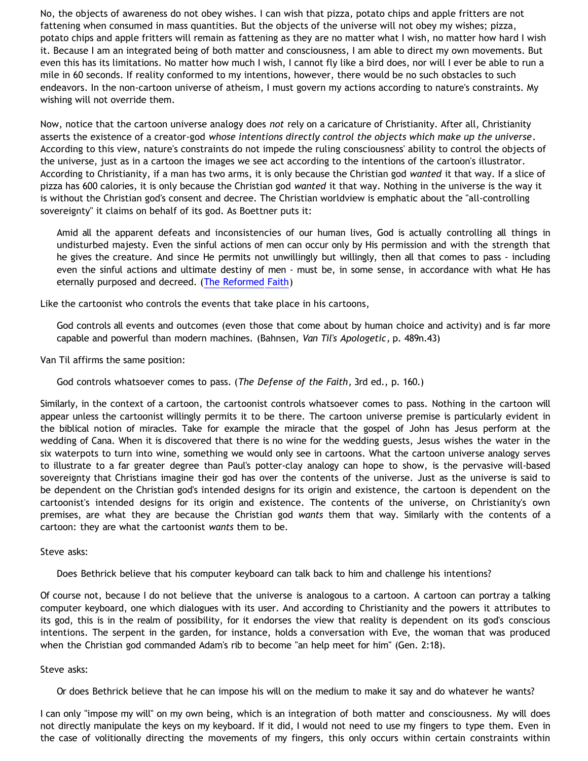No, the objects of awareness do not obey wishes. I can wish that pizza, potato chips and apple fritters are not fattening when consumed in mass quantities. But the objects of the universe will not obey my wishes; pizza, potato chips and apple fritters will remain as fattening as they are no matter what I wish, no matter how hard I wish it. Because I am an integrated being of both matter and consciousness, I am able to direct my own movements. But even this has its limitations. No matter how much I wish, I cannot fly like a bird does, nor will I ever be able to run a mile in 60 seconds. If reality conformed to my intentions, however, there would be no such obstacles to such endeavors. In the non-cartoon universe of atheism, I must govern my actions according to nature's constraints. My wishing will not override them.

Now, notice that the cartoon universe analogy does *not* rely on a caricature of Christianity. After all, Christianity asserts the existence of a creator-god *whose intentions directly control the objects which make up the universe*. According to this view, nature's constraints do not impede the ruling consciousness' ability to control the objects of the universe, just as in a cartoon the images we see act according to the intentions of the cartoon's illustrator. According to Christianity, if a man has two arms, it is only because the Christian god *wanted* it that way. If a slice of pizza has 600 calories, it is only because the Christian god *wanted* it that way. Nothing in the universe is the way it is without the Christian god's consent and decree. The Christian worldview is emphatic about the "all-controlling sovereignty" it claims on behalf of its god. As Boettner puts it:

Amid all the apparent defeats and inconsistencies of our human lives, God is actually controlling all things in undisturbed majesty. Even the sinful actions of men can occur only by His permission and with the strength that he gives the creature. And since He permits not unwillingly but willingly, then all that comes to pass - including even the sinful actions and ultimate destiny of men - must be, in some sense, in accordance with what He has eternally purposed and decreed. [\(The Reformed Faith\)](http://www.salemreformed.org/SynopsisoftheReformedFaith.html)

Like the cartoonist who controls the events that take place in his cartoons,

God controls all events and outcomes (even those that come about by human choice and activity) and is far more capable and powerful than modern machines. (Bahnsen, *Van Til's Apologetic*, p. 489n.43)

Van Til affirms the same position:

God controls whatsoever comes to pass. (*The Defense of the Faith*, 3rd ed., p. 160.)

Similarly, in the context of a cartoon, the cartoonist controls whatsoever comes to pass. Nothing in the cartoon will appear unless the cartoonist willingly permits it to be there. The cartoon universe premise is particularly evident in the biblical notion of miracles. Take for example the miracle that the gospel of John has Jesus perform at the wedding of Cana. When it is discovered that there is no wine for the wedding guests, Jesus wishes the water in the six waterpots to turn into wine, something we would only see in cartoons. What the cartoon universe analogy serves to illustrate to a far greater degree than Paul's potter-clay analogy can hope to show, is the pervasive will-based sovereignty that Christians imagine their god has over the contents of the universe. Just as the universe is said to be dependent on the Christian god's intended designs for its origin and existence, the cartoon is dependent on the cartoonist's intended designs for its origin and existence. The contents of the universe, on Christianity's own premises, are what they are because the Christian god *wants* them that way. Similarly with the contents of a cartoon: they are what the cartoonist *wants* them to be.

Steve asks:

Does Bethrick believe that his computer keyboard can talk back to him and challenge his intentions?

Of course not, because I do not believe that the universe is analogous to a cartoon. A cartoon can portray a talking computer keyboard, one which dialogues with its user. And according to Christianity and the powers it attributes to its god, this is in the realm of possibility, for it endorses the view that reality is dependent on its god's conscious intentions. The serpent in the garden, for instance, holds a conversation with Eve, the woman that was produced when the Christian god commanded Adam's rib to become "an help meet for him" (Gen. 2:18).

#### Steve asks:

Or does Bethrick believe that he can impose his will on the medium to make it say and do whatever he wants?

I can only "impose my will" on my own being, which is an integration of both matter and consciousness. My will does not directly manipulate the keys on my keyboard. If it did, I would not need to use my fingers to type them. Even in the case of volitionally directing the movements of my fingers, this only occurs within certain constraints within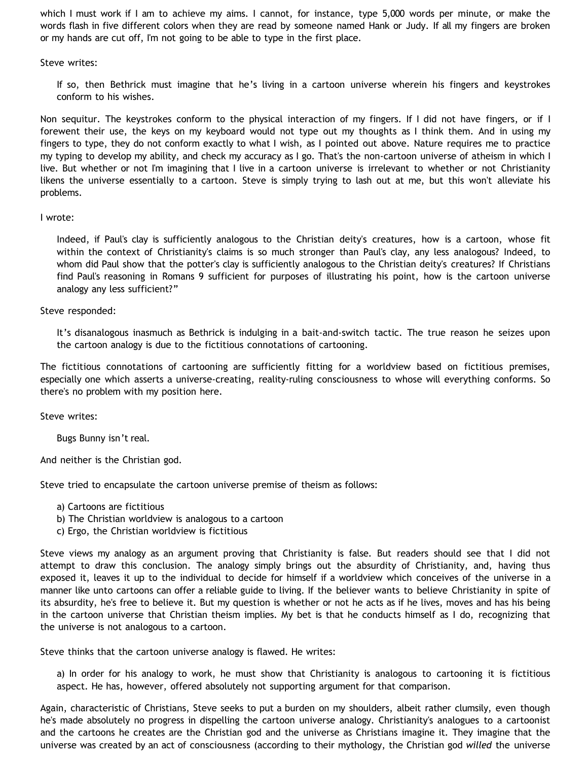which I must work if I am to achieve my aims. I cannot, for instance, type 5,000 words per minute, or make the words flash in five different colors when they are read by someone named Hank or Judy. If all my fingers are broken or my hands are cut off, I'm not going to be able to type in the first place.

Steve writes:

If so, then Bethrick must imagine that he's living in a cartoon universe wherein his fingers and keystrokes conform to his wishes.

Non sequitur. The keystrokes conform to the physical interaction of my fingers. If I did not have fingers, or if I forewent their use, the keys on my keyboard would not type out my thoughts as I think them. And in using my fingers to type, they do not conform exactly to what I wish, as I pointed out above. Nature requires me to practice my typing to develop my ability, and check my accuracy as I go. That's the non-cartoon universe of atheism in which I live. But whether or not I'm imagining that I live in a cartoon universe is irrelevant to whether or not Christianity likens the universe essentially to a cartoon. Steve is simply trying to lash out at me, but this won't alleviate his problems.

## I wrote:

Indeed, if Paul's clay is sufficiently analogous to the Christian deity's creatures, how is a cartoon, whose fit within the context of Christianity's claims is so much stronger than Paul's clay, any less analogous? Indeed, to whom did Paul show that the potter's clay is sufficiently analogous to the Christian deity's creatures? If Christians find Paul's reasoning in Romans 9 sufficient for purposes of illustrating his point, how is the cartoon universe analogy any less sufficient?"

## Steve responded:

It's disanalogous inasmuch as Bethrick is indulging in a bait-and-switch tactic. The true reason he seizes upon the cartoon analogy is due to the fictitious connotations of cartooning.

The fictitious connotations of cartooning are sufficiently fitting for a worldview based on fictitious premises, especially one which asserts a universe-creating, reality-ruling consciousness to whose will everything conforms. So there's no problem with my position here.

Steve writes:

Bugs Bunny isn't real.

And neither is the Christian god.

Steve tried to encapsulate the cartoon universe premise of theism as follows:

- a) Cartoons are fictitious
- b) The Christian worldview is analogous to a cartoon
- c) Ergo, the Christian worldview is fictitious

Steve views my analogy as an argument proving that Christianity is false. But readers should see that I did not attempt to draw this conclusion. The analogy simply brings out the absurdity of Christianity, and, having thus exposed it, leaves it up to the individual to decide for himself if a worldview which conceives of the universe in a manner like unto cartoons can offer a reliable guide to living. If the believer wants to believe Christianity in spite of its absurdity, he's free to believe it. But my question is whether or not he acts as if he lives, moves and has his being in the cartoon universe that Christian theism implies. My bet is that he conducts himself as I do, recognizing that the universe is not analogous to a cartoon.

Steve thinks that the cartoon universe analogy is flawed. He writes:

a) In order for his analogy to work, he must show that Christianity is analogous to cartooning it is fictitious aspect. He has, however, offered absolutely not supporting argument for that comparison.

Again, characteristic of Christians, Steve seeks to put a burden on my shoulders, albeit rather clumsily, even though he's made absolutely no progress in dispelling the cartoon universe analogy. Christianity's analogues to a cartoonist and the cartoons he creates are the Christian god and the universe as Christians imagine it. They imagine that the universe was created by an act of consciousness (according to their mythology, the Christian god *willed* the universe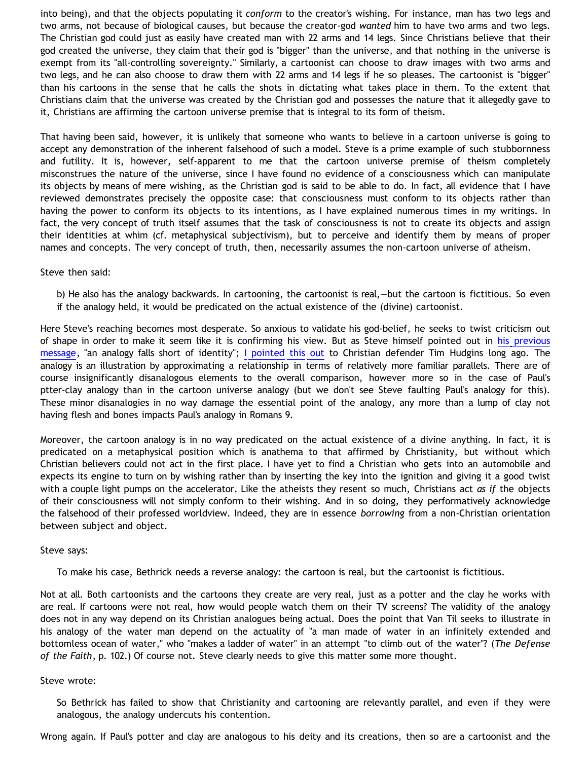into being), and that the objects populating it *conform* to the creator's wishing. For instance, man has two legs and two arms, not because of biological causes, but because the creator-god *wanted* him to have two arms and two legs. The Christian god could just as easily have created man with 22 arms and 14 legs. Since Christians believe that their god created the universe, they claim that their god is "bigger" than the universe, and that nothing in the universe is exempt from its "all-controlling sovereignty." Similarly, a cartoonist can choose to draw images with two arms and two legs, and he can also choose to draw them with 22 arms and 14 legs if he so pleases. The cartoonist is "bigger" than his cartoons in the sense that he calls the shots in dictating what takes place in them. To the extent that Christians claim that the universe was created by the Christian god and possesses the nature that it allegedly gave to it, Christians are affirming the cartoon universe premise that is integral to its form of theism.

That having been said, however, it is unlikely that someone who wants to believe in a cartoon universe is going to accept any demonstration of the inherent falsehood of such a model. Steve is a prime example of such stubbornness and futility. It is, however, self-apparent to me that the cartoon universe premise of theism completely misconstrues the nature of the universe, since I have found no evidence of a consciousness which can manipulate its objects by means of mere wishing, as the Christian god is said to be able to do. In fact, all evidence that I have reviewed demonstrates precisely the opposite case: that consciousness must conform to its objects rather than having the power to conform its objects to its intentions, as I have explained numerous times in my writings. In fact, the very concept of truth itself assumes that the task of consciousness is not to create its objects and assign their identities at whim (cf. metaphysical subjectivism), but to perceive and identify them by means of proper names and concepts. The very concept of truth, then, necessarily assumes the non-cartoon universe of atheism.

Steve then said:

b) He also has the analogy backwards. In cartooning, the cartoonist is real,—but the cartoon is fictitious. So even if the analogy held, it would be predicated on the actual existence of the (divine) cartoonist.

Here Steve's reaching becomes most desperate. So anxious to validate his god-belief, he seeks to twist criticism out of shape in order to make it seem like it is confirming his view. But as Steve himself pointed out in [his previous](http://triablogue.blogspot.com/2006/06/incinerating-bethrick.html) [message,](http://triablogue.blogspot.com/2006/06/incinerating-bethrick.html) "an analogy falls short of identity"; [I pointed this out](http://bahnsenburner.blogspot.com/2005/04/omnipotence-and-sovereignty-in-cartoon.html) to Christian defender Tim Hudgins long ago. The analogy is an illustration by approximating a relationship in terms of relatively more familiar parallels. There are of course insignificantly disanalogous elements to the overall comparison, however more so in the case of Paul's ptter-clay analogy than in the cartoon universe analogy (but we don't see Steve faulting Paul's analogy for this). These minor disanalogies in no way damage the essential point of the analogy, any more than a lump of clay not having flesh and bones impacts Paul's analogy in Romans 9.

Moreover, the cartoon analogy is in no way predicated on the actual existence of a divine anything. In fact, it is predicated on a metaphysical position which is anathema to that affirmed by Christianity, but without which Christian believers could not act in the first place. I have yet to find a Christian who gets into an automobile and expects its engine to turn on by wishing rather than by inserting the key into the ignition and giving it a good twist with a couple light pumps on the accelerator. Like the atheists they resent so much, Christians act *as if* the objects of their consciousness will not simply conform to their wishing. And in so doing, they performatively acknowledge the falsehood of their professed worldview. Indeed, they are in essence *borrowing* from a non-Christian orientation between subject and object.

Steve says:

To make his case, Bethrick needs a reverse analogy: the cartoon is real, but the cartoonist is fictitious.

Not at all. Both cartoonists and the cartoons they create are very real, just as a potter and the clay he works with are real. If cartoons were not real, how would people watch them on their TV screens? The validity of the analogy does not in any way depend on its Christian analogues being actual. Does the point that Van Til seeks to illustrate in his analogy of the water man depend on the actuality of "a man made of water in an infinitely extended and bottomless ocean of water," who "makes a ladder of water" in an attempt "to climb out of the water"? (*The Defense of the Faith*, p. 102.) Of course not. Steve clearly needs to give this matter some more thought.

#### Steve wrote:

So Bethrick has failed to show that Christianity and cartooning are relevantly parallel, and even if they were analogous, the analogy undercuts his contention.

Wrong again. If Paul's potter and clay are analogous to his deity and its creations, then so are a cartoonist and the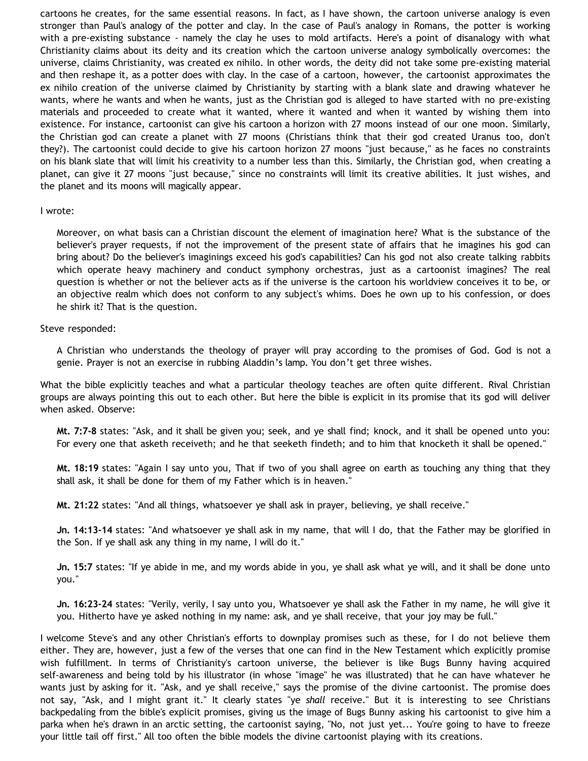cartoons he creates, for the same essential reasons. In fact, as I have shown, the cartoon universe analogy is even stronger than Paul's analogy of the potter and clay. In the case of Paul's analogy in Romans, the potter is working with a pre-existing substance - namely the clay he uses to mold artifacts. Here's a point of disanalogy with what Christianity claims about its deity and its creation which the cartoon universe analogy symbolically overcomes: the universe, claims Christianity, was created ex nihilo. In other words, the deity did not take some pre-existing material and then reshape it, as a potter does with clay. In the case of a cartoon, however, the cartoonist approximates the ex nihilo creation of the universe claimed by Christianity by starting with a blank slate and drawing whatever he wants, where he wants and when he wants, just as the Christian god is alleged to have started with no pre-existing materials and proceeded to create what it wanted, where it wanted and when it wanted by wishing them into existence. For instance, cartoonist can give his cartoon a horizon with 27 moons instead of our one moon. Similarly, the Christian god can create a planet with 27 moons (Christians think that their god created Uranus too, don't they?). The cartoonist could decide to give his cartoon horizon 27 moons "just because," as he faces no constraints on his blank slate that will limit his creativity to a number less than this. Similarly, the Christian god, when creating a planet, can give it 27 moons "just because," since no constraints will limit its creative abilities. It just wishes, and the planet and its moons will magically appear.

#### I wrote:

Moreover, on what basis can a Christian discount the element of imagination here? What is the substance of the believer's prayer requests, if not the improvement of the present state of affairs that he imagines his god can bring about? Do the believer's imaginings exceed his god's capabilities? Can his god not also create talking rabbits which operate heavy machinery and conduct symphony orchestras, just as a cartoonist imagines? The real question is whether or not the believer acts as if the universe is the cartoon his worldview conceives it to be, or an objective realm which does not conform to any subject's whims. Does he own up to his confession, or does he shirk it? That is the question.

#### Steve responded:

A Christian who understands the theology of prayer will pray according to the promises of God. God is not a genie. Prayer is not an exercise in rubbing Aladdin's lamp. You don't get three wishes.

What the bible explicitly teaches and what a particular theology teaches are often quite different. Rival Christian groups are always pointing this out to each other. But here the bible is explicit in its promise that its god will deliver when asked. Observe:

**Mt. 7:7-8** states: "Ask, and it shall be given you; seek, and ye shall find; knock, and it shall be opened unto you: For every one that asketh receiveth; and he that seeketh findeth; and to him that knocketh it shall be opened."

**Mt. 18:19** states: "Again I say unto you, That if two of you shall agree on earth as touching any thing that they shall ask, it shall be done for them of my Father which is in heaven."

**Mt. 21:22** states: "And all things, whatsoever ye shall ask in prayer, believing, ye shall receive."

**Jn. 14:13-14** states: "And whatsoever ye shall ask in my name, that will I do, that the Father may be glorified in the Son. If ye shall ask any thing in my name, I will do it."

**Jn. 15:7** states: "If ye abide in me, and my words abide in you, ye shall ask what ye will, and it shall be done unto you."

**Jn. 16:23-24** states: "Verily, verily, I say unto you, Whatsoever ye shall ask the Father in my name, he will give it you. Hitherto have ye asked nothing in my name: ask, and ye shall receive, that your joy may be full."

I welcome Steve's and any other Christian's efforts to downplay promises such as these, for I do not believe them either. They are, however, just a few of the verses that one can find in the New Testament which explicitly promise wish fulfillment. In terms of Christianity's cartoon universe, the believer is like Bugs Bunny having acquired self-awareness and being told by his illustrator (in whose "image" he was illustrated) that he can have whatever he wants just by asking for it. "Ask, and ye shall receive," says the promise of the divine cartoonist. The promise does not say, "Ask, and I might grant it." It clearly states "ye *shall* receive." But it is interesting to see Christians backpedaling from the bible's explicit promises, giving us the image of Bugs Bunny asking his cartoonist to give him a parka when he's drawn in an arctic setting, the cartoonist saying, "No, not just yet... You're going to have to freeze your little tail off first." All too often the bible models the divine cartoonist playing with its creations.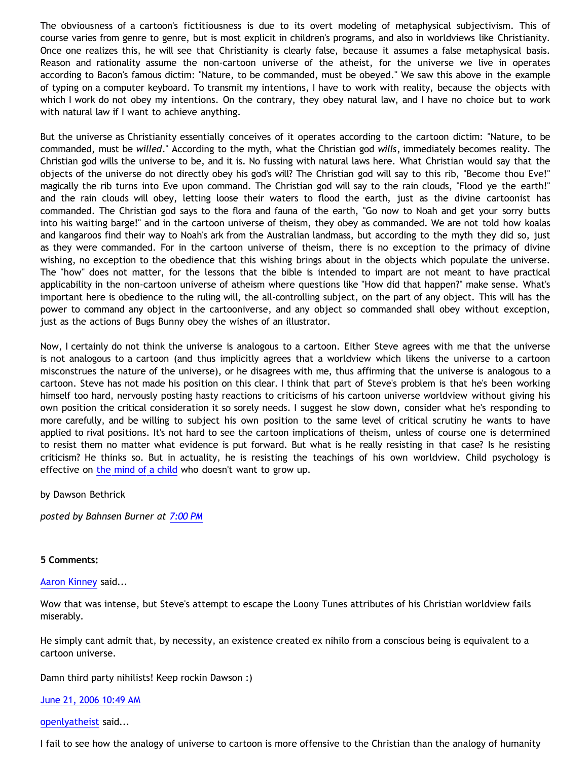The obviousness of a cartoon's fictitiousness is due to its overt modeling of metaphysical subjectivism. This of course varies from genre to genre, but is most explicit in children's programs, and also in worldviews like Christianity. Once one realizes this, he will see that Christianity is clearly false, because it assumes a false metaphysical basis. Reason and rationality assume the non-cartoon universe of the atheist, for the universe we live in operates according to Bacon's famous dictim: "Nature, to be commanded, must be obeyed." We saw this above in the example of typing on a computer keyboard. To transmit my intentions, I have to work with reality, because the objects with which I work do not obey my intentions. On the contrary, they obey natural law, and I have no choice but to work with natural law if I want to achieve anything.

But the universe as Christianity essentially conceives of it operates according to the cartoon dictim: "Nature, to be commanded, must be *willed*." According to the myth, what the Christian god *wills*, immediately becomes reality. The Christian god wills the universe to be, and it is. No fussing with natural laws here. What Christian would say that the objects of the universe do not directly obey his god's will? The Christian god will say to this rib, "Become thou Eve!" magically the rib turns into Eve upon command. The Christian god will say to the rain clouds, "Flood ye the earth!" and the rain clouds will obey, letting loose their waters to flood the earth, just as the divine cartoonist has commanded. The Christian god says to the flora and fauna of the earth, "Go now to Noah and get your sorry butts into his waiting barge!" and in the cartoon universe of theism, they obey as commanded. We are not told how koalas and kangaroos find their way to Noah's ark from the Australian landmass, but according to the myth they did so, just as they were commanded. For in the cartoon universe of theism, there is no exception to the primacy of divine wishing, no exception to the obedience that this wishing brings about in the objects which populate the universe. The "how" does not matter, for the lessons that the bible is intended to impart are not meant to have practical applicability in the non-cartoon universe of atheism where questions like "How did that happen?" make sense. What's important here is obedience to the ruling will, the all-controlling subject, on the part of any object. This will has the power to command any object in the cartooniverse, and any object so commanded shall obey without exception, just as the actions of Bugs Bunny obey the wishes of an illustrator.

Now, I certainly do not think the universe is analogous to a cartoon. Either Steve agrees with me that the universe is not analogous to a cartoon (and thus implicitly agrees that a worldview which likens the universe to a cartoon misconstrues the nature of the universe), or he disagrees with me, thus affirming that the universe is analogous to a cartoon. Steve has not made his position on this clear. I think that part of Steve's problem is that he's been working himself too hard, nervously posting hasty reactions to criticisms of his cartoon universe worldview without giving his own position the critical consideration it so sorely needs. I suggest he slow down, consider what he's responding to more carefully, and be willing to subject his own position to the same level of critical scrutiny he wants to have applied to rival positions. It's not hard to see the cartoon implications of theism, unless of course one is determined to resist them no matter what evidence is put forward. But what is he really resisting in that case? Is he resisting criticism? He thinks so. But in actuality, he is resisting the teachings of his own worldview. Child psychology is effective on [the mind of a child](http://bahnsenburner.blogspot.com/2005/12/with-minds-of-children.html) who doesn't want to grow up.

by Dawson Bethrick

*posted by Bahnsen Burner at [7:00 PM](http://bahnsenburner.blogspot.com/2006/06/steves-hays-ty-reaction-to-cartoon.html)*

### **5 Comments:**

#### [Aaron Kinney](http://www.blogger.com/profile/8138664) said...

Wow that was intense, but Steve's attempt to escape the Loony Tunes attributes of his Christian worldview fails miserably.

He simply cant admit that, by necessity, an existence created ex nihilo from a conscious being is equivalent to a cartoon universe.

Damn third party nihilists! Keep rockin Dawson :)

[June 21, 2006 10:49 AM](http://bahnsenburner.blogspot.com/2006/06/115091219624030373)

[openlyatheist](http://www.blogger.com/profile/21582664) said...

I fail to see how the analogy of universe to cartoon is more offensive to the Christian than the analogy of humanity